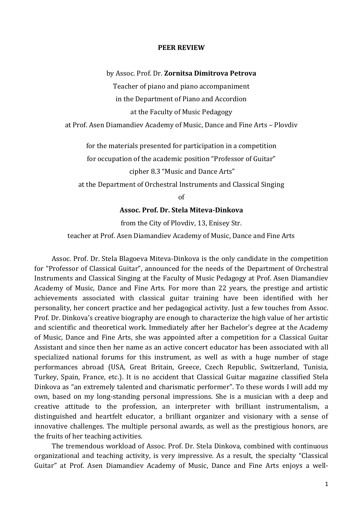## **PEER REVIEW**

by Assoc. Prof. Dr. **Zornitsa Dimitrova Petrova**

Teacher of piano and piano accompaniment

in the Department of Piano and Accordion

at the Faculty of Music Pedagogy

at Prof. Asen Diamandiev Academy of Music, Dance and Fine Arts – Plovdiv

for the materials presented for participation in a competition

for occupation of the academic position "Professor of Guitar"

cipher 8.3 "Music and Dance Arts"

at the Department of Orchestral Instruments and Classical Singing

of

## **Assoc. Prof. Dr. Stela Miteva-Dinkova**

from the City of Plovdiv, 13, Enisey Str.

teacher at Prof. Asen Diamandiev Academy of Music, Dance and Fine Arts

Assoc. Prof. Dr. Stela Blagoeva Miteva-Dinkova is the only candidate in the competition for "Professor of Classical Guitar", announced for the needs of the Department of Orchestral Instruments and Classical Singing at the Faculty of Music Pedagogy at Prof. Asen Diamandiev Academy of Music, Dance and Fine Arts. For more than 22 years, the prestige and artistic achievements associated with classical guitar training have been identified with her personality, her concert practice and her pedagogical activity. Just a few touches from Assoc. Prof. Dr. Dinkova's creative biography are enough to characterize the high value of her artistic and scientific and theoretical work. Immediately after her Bachelor's degree at the Academy of Music, Dance and Fine Arts, she was appointed after a competition for a Classical Guitar Assistant and since then her name as an active concert educator has been associated with all specialized national forums for this instrument, as well as with a huge number of stage performances abroad (USA, Great Britain, Greece, Czech Republic, Switzerland, Tunisia, Turkey, Spain, France, etc.). It is no accident that Classical Guitar magazine classified Stela Dinkova as "an extremely talented and charismatic performer". To these words I will add my own, based on my long-standing personal impressions. She is a musician with a deep and creative attitude to the profession, an interpreter with brilliant instrumentalism, a distinguished and heartfelt educator, a brilliant organizer and visionary with a sense of innovative challenges. The multiple personal awards, as well as the prestigious honors, are the fruits of her teaching activities.

The tremendous workload of Assoc. Prof. Dr. Stela Dinkova, combined with continuous organizational and teaching activity, is very impressive. As a result, the specialty "Classical Guitar" at Prof. Asen Diamandiev Academy of Music, Dance and Fine Arts enjoys a well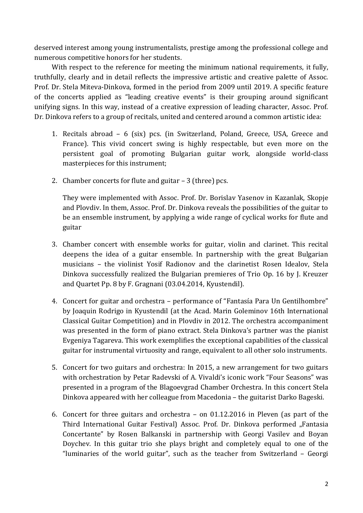deserved interest among young instrumentalists, prestige among the professional college and numerous competitive honors for her students.

With respect to the reference for meeting the minimum national requirements, it fully, truthfully, clearly and in detail reflects the impressive artistic and creative palette of Assoc. Prof. Dr. Stela Miteva-Dinkova, formed in the period from 2009 until 2019. A specific feature of the concerts applied as "leading creative events" is their grouping around significant unifying signs. In this way, instead of a creative expression of leading character, Assoc. Prof. Dr. Dinkova refers to a group of recitals, united and centered around a common artistic idea:

- 1. Recitals abroad 6 (six) pcs. (in Switzerland, Poland, Greece, USA, Greece and France). This vivid concert swing is highly respectable, but even more on the persistent goal of promoting Bulgarian guitar work, alongside world-class masterpieces for this instrument;
- 2. Chamber concerts for flute and guitar 3 (three) pcs.

They were implemented with Assoc. Prof. Dr. Borislav Yasenov in Kazanlak, Skopje and Plovdiv. In them, Assoc. Prof. Dr. Dinkova reveals the possibilities of the guitar to be an ensemble instrument, by applying a wide range of cyclical works for flute and guitar

- 3. Chamber concert with ensemble works for guitar, violin and clarinet. This recital deepens the idea of a guitar ensemble. In partnership with the great Bulgarian musicians – the violinist Yosif Radionov and the clarinetist Rosen Idealov, Stela Dinkova successfully realized the Bulgarian premieres of Trio Op. 16 by J. Kreuzer and Quartet Pp. 8 by F. Gragnani (03.04.2014, Kyustendil).
- 4. Concert for guitar and orchestra performance of "Fantasía Para Un Gentilhombre" by Joaquin Rodrigo in Kyustendil (at the Acad. Marin Goleminov 16th International Classical Guitar Competition) and in Plovdiv in 2012. The orchestra accompaniment was presented in the form of piano extract. Stela Dinkova's partner was the pianist Evgeniya Tagareva. This work exemplifies the exceptional capabilities of the classical guitar for instrumental virtuosity and range, equivalent to all other solo instruments.
- 5. Concert for two guitars and orchestra: In 2015, a new arrangement for two guitars with orchestration by Petar Radevski of A. Vivaldi's iconic work "Four Seasons" was presented in a program of the Blagoevgrad Chamber Orchestra. In this concert Stela Dinkova appeared with her colleague from Macedonia – the guitarist Darko Bageski.
- 6. Concert for three guitars and orchestra on 01.12.2016 in Pleven (as part of the Third International Guitar Festival) Assoc. Prof. Dr. Dinkova performed "Fantasia Concertante" by Rosen Balkanski in partnership with Georgi Vasilev and Boyan Doychev. In this guitar trio she plays bright and completely equal to one of the "luminaries of the world guitar", such as the teacher from Switzerland – Georgi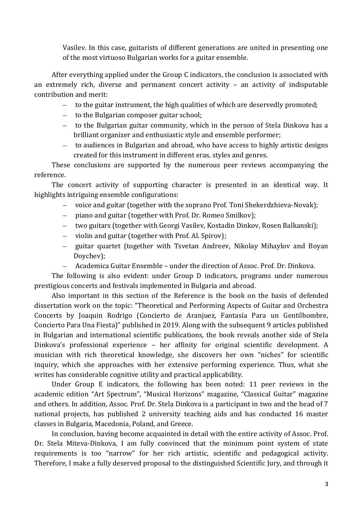Vasilev. In this case, guitarists of different generations are united in presenting one of the most virtuoso Bulgarian works for a guitar ensemble.

After everything applied under the Group C indicators, the conclusion is associated with an extremely rich, diverse and permanent concert activity – an activity of indisputable contribution and merit:

- to the guitar instrument, the high qualities of which are deservedly promoted;
- to the Bulgarian composer guitar school;
- to the Bulgarian guitar community, which in the person of Stela Dinkova has a brilliant organizer and enthusiastic style and ensemble performer;
- to audiences in Bulgarian and abroad, who have access to highly artistic designs created for this instrument in different eras, styles and genres.

These conclusions are supported by the numerous peer reviews accompanying the reference.

The concert activity of supporting character is presented in an identical way. It highlights intriguing ensemble configurations:

- voice and guitar (together with the soprano Prof. Toni Shekerdzhieva-Novak);
- $\overline{\phantom{0}}$ piano and guitar (together with Prof. Dr. Romeo Smilkov);
- two guitars (together with Georgi Vasilev, Kostadin Dinkov, Rosen Balkanski);
- $\overline{\phantom{0}}$ violin and guitar (together with Prof. Al. Spirov);
- guitar quartet (together with Tsvetan Andreev, Nikolay Mihaylov and Boyan Doychev);
	- Academica Guitar Ensemble under the direction of Assoc. Prof. Dr. Dinkova.

The following is also evident: under Group D indicators, programs under numerous prestigious concerts and festivals implemented in Bulgaria and abroad.

Also important in this section of the Reference is the book on the basis of defended dissertation work on the topic: "Theoretical and Performing Aspects of Guitar and Orchestra Concerts by Joaquin Rodrigo (Concierto de Aranjuez, Fantasía Para un Gentilhombre, Concierto Para Una Fiesta)" published in 2019. Along with the subsequent 9 articles published in Bulgarian and international scientific publications, the book reveals another side of Stela Dinkova's professional experience – her affinity for original scientific development. A musician with rich theoretical knowledge, she discovers her own "niches" for scientific inquiry, which she approaches with her extensive performing experience. Thus, what she writes has considerable cognitive utility and practical applicability.

Under Group E indicators, the following has been noted: 11 peer reviews in the academic edition "Art Spectrum", "Musical Horizons" magazine, "Classical Guitar" magazine and others. In addition, Assoc. Prof. Dr. Stela Dinkova is a participant in two and the head of 7 national projects, has published 2 university teaching aids and has conducted 16 master classes in Bulgaria, Macedonia, Poland, and Greece.

In conclusion, having become acquainted in detail with the entire activity of Assoc. Prof. Dr. Stela Miteva-Dinkova, I am fully convinced that the minimum point system of state requirements is too "narrow" for her rich artistic, scientific and pedagogical activity. Therefore, I make a fully deserved proposal to the distinguished Scientific Jury, and through it